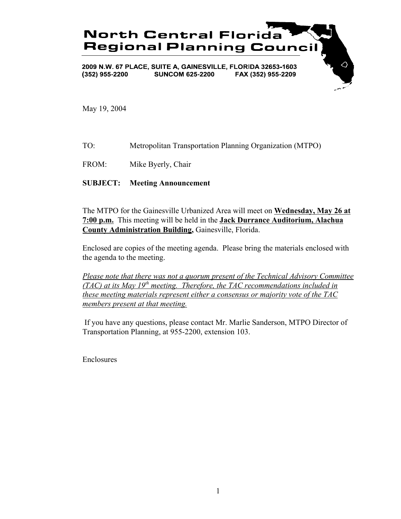

May 19, 2004

- TO: Metropolitan Transportation Planning Organization (MTPO)
- FROM: Mike Byerly, Chair

## **SUBJECT: Meeting Announcement**

The MTPO for the Gainesville Urbanized Area will meet on **Wednesday, May 26 at 7:00 p.m.** This meeting will be held in the **Jack Durrance Auditorium, Alachua County Administration Building,** Gainesville, Florida.

Enclosed are copies of the meeting agenda. Please bring the materials enclosed with the agenda to the meeting.

*Please note that there was not a quorum present of the Technical Advisory Committee (TAC) at its May 19th meeting. Therefore, the TAC recommendations included in these meeting materials represent either a consensus or majority vote of the TAC members present at that meeting.*

 If you have any questions, please contact Mr. Marlie Sanderson, MTPO Director of Transportation Planning, at 955-2200, extension 103.

Enclosures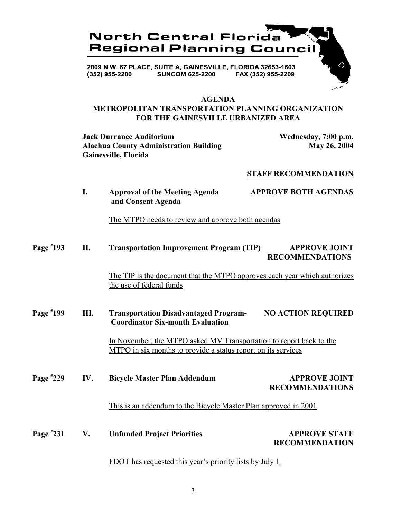

### **AGENDA**

## **METROPOLITAN TRANSPORTATION PLANNING ORGANIZATION FOR THE GAINESVILLE URBANIZED AREA**

**Jack Durrance Auditorium Wednesday, 7:00 p.m.**<br>Alachua County Administration Building May 26, 2004 **Alachua County Administration Building Gainesville, Florida**

## **STAFF RECOMMENDATION**

|             | I.  | <b>Approval of the Meeting Agenda</b><br>and Consent Agenda                                                                          | <b>APPROVE BOTH AGENDAS</b>                    |
|-------------|-----|--------------------------------------------------------------------------------------------------------------------------------------|------------------------------------------------|
|             |     | The MTPO needs to review and approve both agendas                                                                                    |                                                |
| Page #193   | II. | <b>Transportation Improvement Program (TIP)</b>                                                                                      | <b>APPROVE JOINT</b><br><b>RECOMMENDATIONS</b> |
|             |     | The TIP is the document that the MTPO approves each year which authorizes<br>the use of federal funds                                |                                                |
| Page #199   | Ш.  | <b>Transportation Disadvantaged Program-</b><br><b>Coordinator Six-month Evaluation</b>                                              | <b>NO ACTION REQUIRED</b>                      |
|             |     | In November, the MTPO asked MV Transportation to report back to the<br>MTPO in six months to provide a status report on its services |                                                |
| Page $*229$ | IV. | <b>Bicycle Master Plan Addendum</b>                                                                                                  | <b>APPROVE JOINT</b><br><b>RECOMMENDATIONS</b> |
|             |     | This is an addendum to the Bicycle Master Plan approved in 2001                                                                      |                                                |
| Page $*231$ | V.  | <b>Unfunded Project Priorities</b>                                                                                                   | <b>APPROVE STAFF</b><br><b>RECOMMENDATION</b>  |

## FDOT has requested this year's priority lists by July 1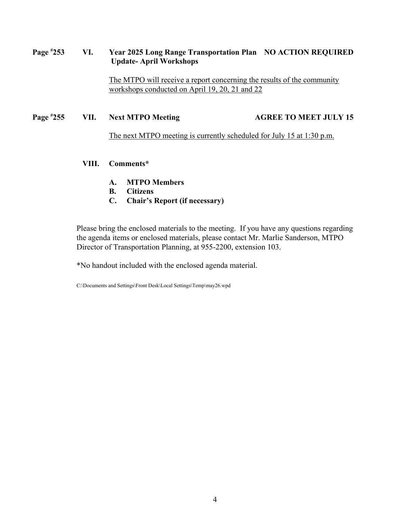#### **Page # 253 VI. Year 2025 Long Range Transportation Plan NO ACTION REQUIRED Update- April Workshops**

The MTPO will receive a report concerning the results of the community workshops conducted on April 19, 20, 21 and 22

#### **Page # 255 VII.** Next MTPO Meeting AGREE TO MEET JULY 15

The next MTPO meeting is currently scheduled for July 15 at 1:30 p.m.

## **VIII. Comments\***

- **A. MTPO Members**
- **B. Citizens**
- **C. Chair's Report (if necessary)**

Please bring the enclosed materials to the meeting. If you have any questions regarding the agenda items or enclosed materials, please contact Mr. Marlie Sanderson, MTPO Director of Transportation Planning, at 955-2200, extension 103.

\*No handout included with the enclosed agenda material.

C:\Documents and Settings\Front Desk\Local Settings\Temp\may26.wpd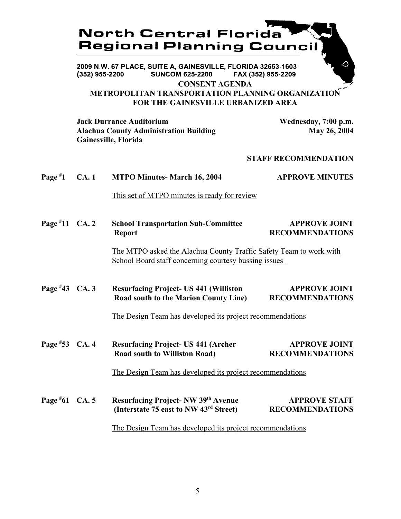# **North Central Florida Regional Planning Council**

2009 N.W. 67 PLACE, SUITE A, GAINESVILLE, FLORIDA 32653-1603 **SUNCOM 625-2200**  $(352)$  955-2200 FAX (352) 955-2209 **CONSENT AGENDA**

**METROPOLITAN TRANSPORTATION PLANNING ORGANIZATION FOR THE GAINESVILLE URBANIZED AREA**

**Jack Durrance Auditorium Wednesday, 7:00 p.m.** Alachua County Administration Building May 26, 2004 **Gainesville, Florida**

## **STAFF RECOMMENDATION**

| Page $*1$        | CA.1 | <b>MTPO Minutes- March 16, 2004</b>                                                                                                                | <b>APPROVE MINUTES</b>                         |
|------------------|------|----------------------------------------------------------------------------------------------------------------------------------------------------|------------------------------------------------|
|                  |      | This set of MTPO minutes is ready for review                                                                                                       |                                                |
| Page $*11$ CA. 2 |      | <b>School Transportation Sub-Committee</b><br><b>Report</b>                                                                                        | <b>APPROVE JOINT</b><br><b>RECOMMENDATIONS</b> |
|                  |      | The MTPO asked the Alachua County Traffic Safety Team to work with<br>School Board staff concerning courtesy bussing issues                        |                                                |
| Page $*43$ CA. 3 |      | <b>Resurfacing Project-US 441 (Williston</b><br>Road south to the Marion County Line)<br>The Design Team has developed its project recommendations | <b>APPROVE JOINT</b><br><b>RECOMMENDATIONS</b> |
| Page #53 CA. 4   |      | <b>Resurfacing Project-US 441 (Archer</b><br><b>Road south to Williston Road)</b>                                                                  | <b>APPROVE JOINT</b><br><b>RECOMMENDATIONS</b> |
| Page $*61$ CA. 5 |      | The Design Team has developed its project recommendations<br>Resurfacing Project- NW 39th Avenue                                                   | <b>APPROVE STAFF</b>                           |
|                  |      | (Interstate 75 east to NW 43 <sup>rd</sup> Street)<br>The Design Team has developed its project recommendations                                    | <b>RECOMMENDATIONS</b>                         |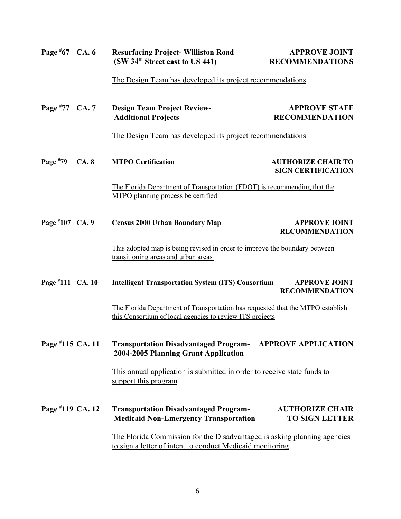| Page $*67$ CA. 6 |      | <b>Resurfacing Project-Williston Road</b><br>(SW 34 <sup>th</sup> Street east to US 441)                                                   | <b>APPROVE JOINT</b><br><b>RECOMMENDATIONS</b>            |  |  |
|------------------|------|--------------------------------------------------------------------------------------------------------------------------------------------|-----------------------------------------------------------|--|--|
|                  |      |                                                                                                                                            | The Design Team has developed its project recommendations |  |  |
| Page #77 CA. 7   |      | <b>Design Team Project Review-</b><br><b>Additional Projects</b>                                                                           | <b>APPROVE STAFF</b><br><b>RECOMMENDATION</b>             |  |  |
|                  |      | The Design Team has developed its project recommendations                                                                                  |                                                           |  |  |
| Page $*79$       | CA.8 | <b>MTPO Certification</b>                                                                                                                  | <b>AUTHORIZE CHAIR TO</b><br><b>SIGN CERTIFICATION</b>    |  |  |
|                  |      | The Florida Department of Transportation (FDOT) is recommending that the<br>MTPO planning process be certified                             |                                                           |  |  |
| Page #107 CA. 9  |      | <b>Census 2000 Urban Boundary Map</b>                                                                                                      | <b>APPROVE JOINT</b><br><b>RECOMMENDATION</b>             |  |  |
|                  |      | This adopted map is being revised in order to improve the boundary between<br>transitioning areas and urban areas                          |                                                           |  |  |
| Page #111 CA. 10 |      | <b>Intelligent Transportation System (ITS) Consortium</b>                                                                                  | <b>APPROVE JOINT</b><br><b>RECOMMENDATION</b>             |  |  |
|                  |      | The Florida Department of Transportation has requested that the MTPO establish<br>this Consortium of local agencies to review ITS projects |                                                           |  |  |
| Page #115 CA. 11 |      | <b>Transportation Disadvantaged Program-</b><br>2004-2005 Planning Grant Application                                                       | <b>APPROVE APPLICATION</b>                                |  |  |
|                  |      | This annual application is submitted in order to receive state funds to<br>support this program                                            |                                                           |  |  |
| Page #119 CA. 12 |      | <b>Transportation Disadvantaged Program-</b><br><b>Medicaid Non-Emergency Transportation</b>                                               | <b>AUTHORIZE CHAIR</b><br><b>TO SIGN LETTER</b>           |  |  |
|                  |      | The Florida Commission for the Disadvantaged is asking planning agencies<br>to sign a letter of intent to conduct Medicaid monitoring      |                                                           |  |  |